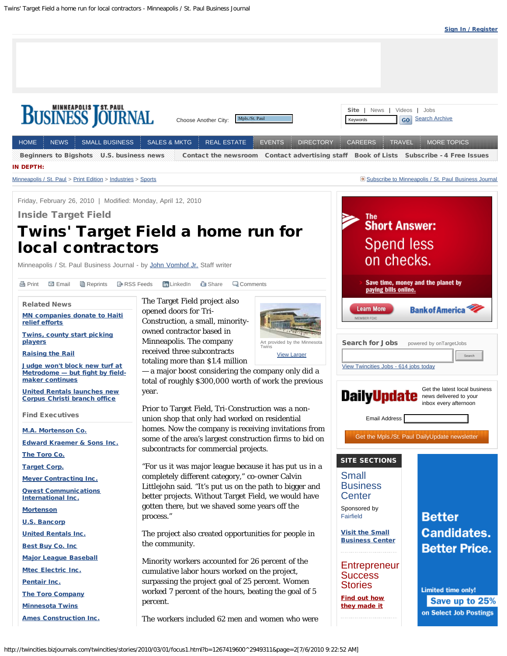

<span id="page-0-0"></span>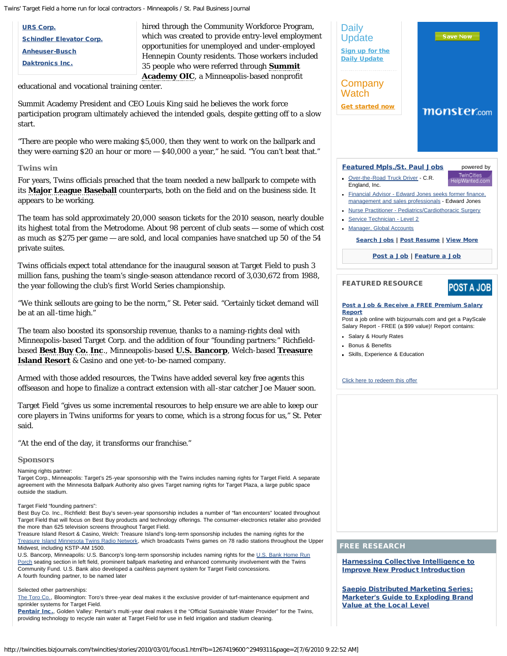[URS Corp.](http://www.netprospex.com/company/executives/URS?companyID=1644834) [Schindler Elevator Corp.](http://www.netprospex.com/company/executives/Schindler-Elevator?companyID=1816259) [Anheuser-Busch](http://www.netprospex.com/company/executives/Anheuser-Busch?companyID=1644343) [Daktronics Inc.](http://www.netprospex.com/company/executives/Daktronics?companyID=1646155)

hired through the Community Workforce Program, which was created to provide entry-level employment opportunities for unemployed and under-employed Hennepin County residents. Those workers included 35 people who were referred through **[Summit](http://profiles.portfolio.com/company/us/mn/minneapolis/summit_academy_oic/2622166/) [Academy OIC](http://profiles.portfolio.com/company/us/mn/minneapolis/summit_academy_oic/2622166/)**, a Minneapolis-based nonprofit

educational and vocational training center.

Summit Academy President and CEO Louis King said he believes the work force participation program ultimately achieved the intended goals, despite getting off to a slow start.

"There are people who were making \$5,000, then they went to work on the ballpark and they were earning \$20 an hour or more — \$40,000 a year," he said. "You can't beat that."

# **Twins win**

For years, Twins officials preached that the team needed a new ballpark to compete with its **[Major League Baseball](http://profiles.portfolio.com/company/us/ny/new_york/major_league_baseball/114248/)** counterparts, both on the field and on the business side. It appears to be working.

The team has sold approximately 20,000 season tickets for the 2010 season, nearly double its highest total from the Metrodome. About 98 percent of club seats — some of which cost as much as \$275 per game — are sold, and local companies have snatched up 50 of the 54 private suites.

Twins officials expect total attendance for the inaugural season at Target Field to push 3 million fans, pushing the team's single-season attendance record of 3,030,672 from 1988, the year following the club's first World Series championship.

"We think sellouts are going to be the norm," St. Peter said. "Certainly ticket demand will be at an all-time high."

The team also boosted its sponsorship revenue, thanks to a naming-rights deal with Minneapolis-based Target Corp. and the addition of four "founding partners:" Richfieldbased **[Best Buy Co. Inc](http://profiles.portfolio.com/company/us/mn/richfield/best_buy_co___inc_/2584924/)**., Minneapolis-based **[U.S. Bancorp](http://profiles.portfolio.com/company/us/mn/minneapolis/u_s__bancorp/2614454/)**, Welch-based **[Treasure](http://profiles.portfolio.com/company/us/mn/red_wing/treasure_island_resort___casino/2591311/) [Island Resort](http://profiles.portfolio.com/company/us/mn/red_wing/treasure_island_resort___casino/2591311/)** & Casino and one yet-to-be-named company.

Armed with those added resources, the Twins have added several key free agents this offseason and hope to finalize a contract extension with all-star catcher Joe Mauer soon.

Target Field "gives us some incremental resources to help ensure we are able to keep our core players in Twins uniforms for years to come, which is a strong focus for us," St. Peter said.

"At the end of the day, it transforms our franchise."

## **Sponsors**

Naming rights partner:

Target Corp., Minneapolis: Target's 25-year sponsorship with the Twins includes naming rights for Target Field. A separate agreement with the Minnesota Ballpark Authority also gives Target naming rights for Target Plaza, a large public space outside the stadium.

#### Target Field "founding partners":

Best Buy Co. Inc., Richfield: Best Buy's seven-year sponsorship includes a number of "fan encounters" located throughout Target Field that will focus on Best Buy products and technology offerings. The consumer-electronics retailer also provided the more than 625 television screens throughout Target Field.

Treasure Island Resort & Casino, Welch: Treasure Island's long-term sponsorship includes the naming rights for the [Treasure Island Minnesota Twins Radio Network](http://twincities.bizjournals.com/twincities/related_content.html?topic=Treasure%20Island%20Minnesota%20Twins%20Radio%20Network), which broadcasts Twins games on 78 radio stations throughout the Upper Midwest, including KSTP-AM 1500.

U.S. Bancorp, Minneapolis: U.S. Bancorp's long-term sponsorship includes naming rights for the [U.S. Bank Home Run](http://twincities.bizjournals.com/twincities/related_content.html?topic=US%20Bank%20Home%20Run%20Porch) [Porch](http://twincities.bizjournals.com/twincities/related_content.html?topic=US%20Bank%20Home%20Run%20Porch) seating section in left field, prominent ballpark marketing and enhanced community involvement with the Twins Community Fund. U.S. Bank also developed a cashless payment system for Target Field concessions. A fourth founding partner, to be named later

#### Selected other partnerships:

[The Toro Co.](http://twincities.bizjournals.com/twincities/related_content.html?topic=The%20Toro%20Co), Bloomington: Toro's three-year deal makes it the exclusive provider of turf-maintenance equipment and sprinkler systems for Target Field.

[Pentair Inc.](http://profiles.portfolio.com/company/us/mn/golden_valley/pentair__inc_/2584798/), Golden Valley: Pentair's multi-year deal makes it the "Official Sustainable Water Provider" for the Twins, providing technology to recycle rain water at Target Field for use in field irrigation and stadium cleaning.



### FREE RESEARCH

[Harnessing Collective Intelligence to](http://clk.madisonlogic.com//clk?pub=118&pgr=103&src=1610&tgt=1069&tstamp=20100706T141750&ast=8518&cmp=1888&crv=7079&pos=1&frm=328) [Improve New Product Introduction](http://clk.madisonlogic.com//clk?pub=118&pgr=103&src=1610&tgt=1069&tstamp=20100706T141750&ast=8518&cmp=1888&crv=7079&pos=1&frm=328)

[Saepio Distributed Marketing Series:](http://clk.madisonlogic.com//clk?pub=118&pgr=103&src=1610&tgt=1069&tstamp=20100706T141750&ast=8654&cmp=1935&crv=7215&pos=2&frm=328) [Marketer's Guide to Exploding Brand](http://clk.madisonlogic.com//clk?pub=118&pgr=103&src=1610&tgt=1069&tstamp=20100706T141750&ast=8654&cmp=1935&crv=7215&pos=2&frm=328) [Value at the Local Level](http://clk.madisonlogic.com//clk?pub=118&pgr=103&src=1610&tgt=1069&tstamp=20100706T141750&ast=8654&cmp=1935&crv=7215&pos=2&frm=328)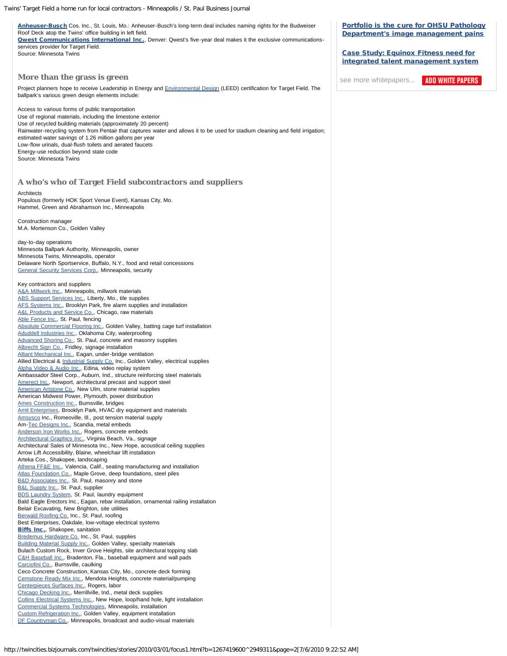| Anheuser-Busch Cos. Inc., St. Louis, Mo.: Anheuser-Busch's long-term deal includes naming rights for the Budweiser<br>Roof Deck atop the Twins' office building in left field.<br><b>Qwest Communications International Inc.</b> , Denver: Qwest's five-year deal makes it the exclusive communications-<br>services provider for Target Field.<br>Source: Minnesota Twins                                                                                                                                                                                                                                                                                                                                                                                                                                                                                                                                                                                                                                                                                                                                                                                                                                                                                                                                                                                                                                                                                                                                                                                                                                                                                                                                                                                                                                                                                                                                                                                                                                                                                                                                                                                                                                                                                                                                                                                                                                                                                                                                                                                                                                                                                                                                                                                                                                                                                                                                                                                                                                                                                                                                      | <b>Portfolio is the cure for OHSU Pathology</b><br>Department's image management pains<br><b>Case Study: Equinox Fitness need for</b><br>integrated talent management system |
|-----------------------------------------------------------------------------------------------------------------------------------------------------------------------------------------------------------------------------------------------------------------------------------------------------------------------------------------------------------------------------------------------------------------------------------------------------------------------------------------------------------------------------------------------------------------------------------------------------------------------------------------------------------------------------------------------------------------------------------------------------------------------------------------------------------------------------------------------------------------------------------------------------------------------------------------------------------------------------------------------------------------------------------------------------------------------------------------------------------------------------------------------------------------------------------------------------------------------------------------------------------------------------------------------------------------------------------------------------------------------------------------------------------------------------------------------------------------------------------------------------------------------------------------------------------------------------------------------------------------------------------------------------------------------------------------------------------------------------------------------------------------------------------------------------------------------------------------------------------------------------------------------------------------------------------------------------------------------------------------------------------------------------------------------------------------------------------------------------------------------------------------------------------------------------------------------------------------------------------------------------------------------------------------------------------------------------------------------------------------------------------------------------------------------------------------------------------------------------------------------------------------------------------------------------------------------------------------------------------------------------------------------------------------------------------------------------------------------------------------------------------------------------------------------------------------------------------------------------------------------------------------------------------------------------------------------------------------------------------------------------------------------------------------------------------------------------------------------------------------|------------------------------------------------------------------------------------------------------------------------------------------------------------------------------|
| More than the grass is green                                                                                                                                                                                                                                                                                                                                                                                                                                                                                                                                                                                                                                                                                                                                                                                                                                                                                                                                                                                                                                                                                                                                                                                                                                                                                                                                                                                                                                                                                                                                                                                                                                                                                                                                                                                                                                                                                                                                                                                                                                                                                                                                                                                                                                                                                                                                                                                                                                                                                                                                                                                                                                                                                                                                                                                                                                                                                                                                                                                                                                                                                    | <b>ADD WHITE PAPERS</b><br>see more whitepapers                                                                                                                              |
| Project planners hope to receive Leadership in Energy and <b>Environmental Design (LEED)</b> certification for Target Field. The<br>ballpark's various green design elements include:                                                                                                                                                                                                                                                                                                                                                                                                                                                                                                                                                                                                                                                                                                                                                                                                                                                                                                                                                                                                                                                                                                                                                                                                                                                                                                                                                                                                                                                                                                                                                                                                                                                                                                                                                                                                                                                                                                                                                                                                                                                                                                                                                                                                                                                                                                                                                                                                                                                                                                                                                                                                                                                                                                                                                                                                                                                                                                                           |                                                                                                                                                                              |
| Access to various forms of public transportation<br>Use of regional materials, including the limestone exterior<br>Use of recycled building materials (approximately 20 percent)<br>Rainwater-recycling system from Pentair that captures water and allows it to be used for stadium cleaning and field irrigation;<br>estimated water savings of 1.26 million gallons per year<br>Low-flow urinals, dual-flush toilets and aerated faucets<br>Energy-use reduction beyond state code<br>Source: Minnesota Twins                                                                                                                                                                                                                                                                                                                                                                                                                                                                                                                                                                                                                                                                                                                                                                                                                                                                                                                                                                                                                                                                                                                                                                                                                                                                                                                                                                                                                                                                                                                                                                                                                                                                                                                                                                                                                                                                                                                                                                                                                                                                                                                                                                                                                                                                                                                                                                                                                                                                                                                                                                                                |                                                                                                                                                                              |
| A who's who of Target Field subcontractors and suppliers                                                                                                                                                                                                                                                                                                                                                                                                                                                                                                                                                                                                                                                                                                                                                                                                                                                                                                                                                                                                                                                                                                                                                                                                                                                                                                                                                                                                                                                                                                                                                                                                                                                                                                                                                                                                                                                                                                                                                                                                                                                                                                                                                                                                                                                                                                                                                                                                                                                                                                                                                                                                                                                                                                                                                                                                                                                                                                                                                                                                                                                        |                                                                                                                                                                              |
| Architects<br>Populous (formerly HOK Sport Venue Event), Kansas City, Mo.<br>Hammel, Green and Abrahamson Inc., Minneapolis                                                                                                                                                                                                                                                                                                                                                                                                                                                                                                                                                                                                                                                                                                                                                                                                                                                                                                                                                                                                                                                                                                                                                                                                                                                                                                                                                                                                                                                                                                                                                                                                                                                                                                                                                                                                                                                                                                                                                                                                                                                                                                                                                                                                                                                                                                                                                                                                                                                                                                                                                                                                                                                                                                                                                                                                                                                                                                                                                                                     |                                                                                                                                                                              |
| Construction manager<br>M.A. Mortenson Co., Golden Valley                                                                                                                                                                                                                                                                                                                                                                                                                                                                                                                                                                                                                                                                                                                                                                                                                                                                                                                                                                                                                                                                                                                                                                                                                                                                                                                                                                                                                                                                                                                                                                                                                                                                                                                                                                                                                                                                                                                                                                                                                                                                                                                                                                                                                                                                                                                                                                                                                                                                                                                                                                                                                                                                                                                                                                                                                                                                                                                                                                                                                                                       |                                                                                                                                                                              |
| day-to-day operations<br>Minnesota Ballpark Authority, Minneapolis, owner<br>Minnesota Twins, Minneapolis, operator<br>Delaware North Sportservice, Buffalo, N.Y., food and retail concessions<br><b>General Security Services Corp., Minneapolis, security</b>                                                                                                                                                                                                                                                                                                                                                                                                                                                                                                                                                                                                                                                                                                                                                                                                                                                                                                                                                                                                                                                                                                                                                                                                                                                                                                                                                                                                                                                                                                                                                                                                                                                                                                                                                                                                                                                                                                                                                                                                                                                                                                                                                                                                                                                                                                                                                                                                                                                                                                                                                                                                                                                                                                                                                                                                                                                 |                                                                                                                                                                              |
| Key contractors and suppliers<br>A&A Millwork Inc., Minneapolis, millwork materials<br>ABS Support Services Inc., Liberty, Mo., tile supplies<br>AFS Systems Inc., Brooklyn Park, fire alarm supplies and installation<br>A&L Products and Service Co., Chicago, raw materials<br>Able Fence Inc., St. Paul, fencing<br>Absolute Commercial Flooring Inc., Golden Valley, batting cage turf installation<br>Aduddell Industries Inc., Oklahoma City, waterproofing<br>Advanced Shoring Co., St. Paul, concrete and masonry supplies<br>Albrecht Sign Co., Fridley, signage installation<br>Alliant Mechanical Inc., Eagan, under-bridge ventilation<br>Allied Electrical & Industrial Supply Co. Inc., Golden Valley, electrical supplies<br>Alpha Video & Audio Inc., Edina, video replay system<br>Ambassador Steel Corp., Auburn, Ind., structure reinforcing steel materials<br>Amerect Inc., Newport, architectural precast and support steel<br>American Artstone Co., New Ulm, stone material supplies<br>American Midwest Power, Plymouth, power distribution<br>Ames Construction Inc., Burnsville, bridges<br>Amit Enterprises, Brooklyn Park, HVAC dry equipment and materials<br>Amsysco Inc., Romeoville, III., post tension material supply<br>Am-Tec Designs Inc., Scandia, metal embeds<br>Anderson Iron Works Inc., Rogers, concrete embeds<br>Architectural Graphics Inc., Virginia Beach, Va., signage<br>Architectural Sales of Minnesota Inc., New Hope, acoustical ceiling supplies<br>Arrow Lift Accessibility, Blaine, wheelchair lift installation<br>Arteka Cos., Shakopee, landscaping<br>Athena FF&E Inc., Valencia, Calif., seating manufacturing and installation<br>Atlas Foundation Co., Maple Grove, deep foundations, steel piles<br>B&D Associates Inc., St. Paul, masonry and stone<br><b>B&amp;L Supply Inc., St. Paul, supplier</b><br>BDS Laundry System, St. Paul, laundry equipment<br>Bald Eagle Erectors Inc., Eagan, rebar installation, ornamental railing installation<br>Belair Excavating, New Brighton, site utilities<br>Berwald Roofing Co. Inc., St. Paul, roofing<br>Best Enterprises, Oakdale, low-voltage electrical systems<br><b>Biffs Inc., Shakopee, sanitation</b><br>Bredemus Hardware Co. Inc., St. Paul, supplies<br><b>Building Material Supply Inc., Golden Valley, specialty materials</b><br>Bulach Custom Rock, Inver Grove Heights, site architectural topping slab<br>C&H Baseball Inc., Bradenton, Fla., baseball equipment and wall pads<br>Carciofini Co., Burnsville, caulking<br>Ceco Concrete Construction, Kansas City, Mo., concrete deck forming<br>Cemstone Ready Mix Inc., Mendota Heights, concrete material/pumping<br>Centerpieces Surfaces Inc., Rogers, labor<br>Chicago Decking Inc., Merrillville, Ind., metal deck supplies<br>Collins Electrical Systems Inc., New Hope, loop/hand hole, light installation<br>Commercial Systems Technologies, Minneapolis, installation<br>Custom Refrigeration Inc., Golden Valley, equipment installation<br>DF Countryman Co., Minneapolis, broadcast and audio-visual materials |                                                                                                                                                                              |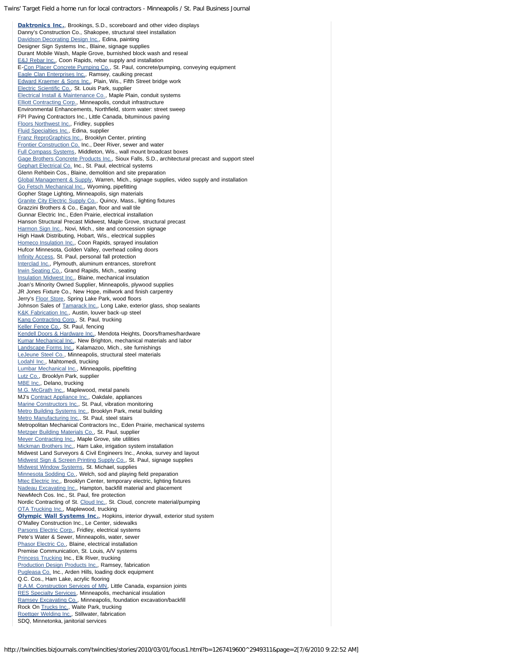[Daktronics Inc.](http://profiles.portfolio.com/company/us/sd/brookings/daktronics__inc_/2131935/), Brookings, S.D., scoreboard and other video displays Danny's Construction Co., Shakopee, structural steel installation [Davidson Decorating Design Inc.](http://twincities.bizjournals.com/twincities/related_content.html?topic=Davidson%20Decorating%20Design%20Inc), Edina, painting Designer Sign Systems Inc., Blaine, signage supplies Durant Mobile Wash, Maple Grove, burnished block wash and reseal [E&J Rebar Inc.](http://twincities.bizjournals.com/twincities/related_content.html?topic=E%26J%20Rebar%20Inc), Coon Rapids, rebar supply and installation E-[Con Placer Concrete Pumping Co.,](http://twincities.bizjournals.com/twincities/related_content.html?topic=Con%20Placer%20Concrete%20Pumping%20Co) St. Paul, concrete/pumping, conveying equipment [Eagle Clan Enterprises Inc.](http://twincities.bizjournals.com/twincities/related_content.html?topic=Eagle%20Clan%20Enterprises%20Inc), Ramsey, caulking precast [Edward Kraemer & Sons Inc.](http://twincities.bizjournals.com/twincities/related_content.html?topic=Edward%20Kraemer%20%26%20Sons%20Inc), Plain, Wis., Fifth Street bridge work [Electric Scientific Co.](http://twincities.bizjournals.com/twincities/related_content.html?topic=Electric%20Scientific%20Co), St. Louis Park, supplier [Electrical Install & Maintenance Co.](http://twincities.bizjournals.com/twincities/related_content.html?topic=Electrical%20Install%20%26%20Maintenance%20Co), Maple Plain, conduit systems [Elliott Contracting Corp.](http://twincities.bizjournals.com/twincities/related_content.html?topic=Elliott%20Contracting%20Corp), Minneapolis, conduit infrastructure Environmental Enhancements, Northfield, storm water: street sweep FPI Paving Contractors Inc., Little Canada, bituminous paving [Floors Northwest Inc.](http://twincities.bizjournals.com/twincities/related_content.html?topic=Floors%20Northwest%20Inc), Fridley, supplies [Fluid Specialties Inc.](http://twincities.bizjournals.com/twincities/related_content.html?topic=Fluid%20Specialties%20Inc), Edina, supplier [Franz ReproGraphics Inc.](http://twincities.bizjournals.com/twincities/related_content.html?topic=Franz%20ReproGraphics%20Inc), Brooklyn Center, printing [Frontier Construction Co.](http://twincities.bizjournals.com/twincities/related_content.html?topic=Frontier%20Construction%20Co) Inc., Deer River, sewer and water [Full Compass Systems](http://twincities.bizjournals.com/twincities/related_content.html?topic=Full%20Compass%20Systems), Middleton, Wis., wall mount broadcast boxes [Gage Brothers Concrete Products Inc.](http://twincities.bizjournals.com/twincities/related_content.html?topic=Gage%20Brothers%20Concrete%20Products%20Inc), Sioux Falls, S.D., architectural precast and support steel [Gephart Electrical Co.](http://twincities.bizjournals.com/twincities/related_content.html?topic=Gephart%20Electrical%20Co) Inc., St. Paul, electrical systems Glenn Rehbein Cos., Blaine, demolition and site preparation [Global Management & Supply](http://twincities.bizjournals.com/twincities/related_content.html?topic=Global%20Management%20%26%20Supply), Warren, Mich., signage supplies, video supply and installation [Go Fetsch Mechanical Inc.](http://twincities.bizjournals.com/twincities/related_content.html?topic=Go%20Fetsch%20Mechanical%20Inc), Wyoming, pipefitting Gopher Stage Lighting, Minneapolis, sign materials [Granite City Electric Supply Co.](http://twincities.bizjournals.com/twincities/related_content.html?topic=Granite%20City%20Electric%20Supply%20Co), Quincy, Mass., lighting fixtures Grazzini Brothers & Co., Eagan, floor and wall tile Gunnar Electric Inc., Eden Prairie, electrical installation Hanson Structural Precast Midwest, Maple Grove, structural precast [Harmon Sign Inc.](http://twincities.bizjournals.com/twincities/related_content.html?topic=Harmon%20Sign%20Inc), Novi, Mich., site and concession signage High Hawk Distributing, Hobart, Wis., electrical supplies [Homeco Insulation Inc.](http://twincities.bizjournals.com/twincities/related_content.html?topic=Homeco%20Insulation%20Inc), Coon Rapids, sprayed insulation Hufcor Minnesota, Golden Valley, overhead coiling doors [Infinity Access](http://twincities.bizjournals.com/twincities/related_content.html?topic=Infinity%20Access), St. Paul, personal fall protection [Interclad Inc.](http://twincities.bizjournals.com/twincities/related_content.html?topic=Interclad%20Inc), Plymouth, aluminum entrances, storefront [Irwin Seating Co.](http://twincities.bizjournals.com/twincities/related_content.html?topic=Irwin%20Seating%20Co), Grand Rapids, Mich., seating [Insulation Midwest Inc.](http://twincities.bizjournals.com/twincities/related_content.html?topic=Insulation%20Midwest%20Inc), Blaine, mechanical insulation Joan's Minority Owned Supplier, Minneapolis, plywood supplies JR Jones Fixture Co., New Hope, millwork and finish carpentry Jerry's [Floor Store](http://twincities.bizjournals.com/twincities/related_content.html?topic=Floor%20Store), Spring Lake Park, wood floors Johnson Sales of [Tamarack Inc.](http://twincities.bizjournals.com/twincities/related_content.html?topic=Tamarack%20Inc), Long Lake, exterior glass, shop sealants [K&K Fabrication Inc.](http://twincities.bizjournals.com/twincities/related_content.html?topic=K%26K%20Fabrication%20Inc), Austin, louver back-up steel [Kang Contracting Corp.](http://twincities.bizjournals.com/twincities/related_content.html?topic=Kang%20Contracting%20Corp), St. Paul, trucking [Keller Fence Co.](http://twincities.bizjournals.com/twincities/related_content.html?topic=Keller%20Fence%20Co), St. Paul, fencing [Kendell Doors & Hardware Inc.](http://twincities.bizjournals.com/twincities/related_content.html?topic=Kendell%20Doors%20%26%20Hardware%20Inc), Mendota Heights, Doors/frames/hardware [Kumar Mechanical Inc.](http://twincities.bizjournals.com/twincities/related_content.html?topic=Kumar%20Mechanical%20Inc), New Brighton, mechanical materials and labor [Landscape Forms Inc.](http://twincities.bizjournals.com/twincities/related_content.html?topic=Landscape%20Forms%20Inc), Kalamazoo, Mich., site furnishings [LeJeune Steel Co.](http://twincities.bizjournals.com/twincities/related_content.html?topic=LeJeune%20Steel%20Co), Minneapolis, structural steel materials [Lodahl Inc.](http://twincities.bizjournals.com/twincities/related_content.html?topic=Lodahl%20Inc), Mahtomedi, trucking [Lumbar Mechanical Inc.](http://twincities.bizjournals.com/twincities/related_content.html?topic=Lumbar%20Mechanical%20Inc), Minneapolis, pipefitting [Lutz Co.](http://twincities.bizjournals.com/twincities/related_content.html?topic=Lutz%20Co), Brooklyn Park, supplier [MBE Inc.](http://twincities.bizjournals.com/twincities/related_content.html?topic=MBE%20Inc), Delano, trucking [M.G. McGrath Inc.](http://twincities.bizjournals.com/twincities/related_content.html?topic=MG%20McGrath%20Inc), Maplewood, metal panels MJ's [Contract Appliance Inc.,](http://twincities.bizjournals.com/twincities/related_content.html?topic=Contract%20Appliance%20Inc) Oakdale, appliances [Marine Constructors Inc.](http://twincities.bizjournals.com/twincities/related_content.html?topic=Marine%20Constructors%20Inc), St. Paul, vibration monitoring [Metro Building Systems Inc.](http://twincities.bizjournals.com/twincities/related_content.html?topic=Metro%20Building%20Systems%20Inc), Brooklyn Park, metal building [Metro Manufacturing Inc.](http://twincities.bizjournals.com/twincities/related_content.html?topic=Metro%20Manufacturing%20Inc), St. Paul, steel stairs Metropolitan Mechanical Contractors Inc., Eden Prairie, mechanical systems [Metzger Building Materials Co.](http://twincities.bizjournals.com/twincities/related_content.html?topic=Metzger%20Building%20Materials%20Co), St. Paul, supplier [Meyer Contracting Inc.](http://twincities.bizjournals.com/twincities/related_content.html?topic=Meyer%20Contracting%20Inc), Maple Grove, site utilities [Mickman Brothers Inc.](http://twincities.bizjournals.com/twincities/related_content.html?topic=Mickman%20Brothers%20Inc), Ham Lake, irrigation system installation Midwest Land Surveyors & Civil Engineers Inc., Anoka, survey and layout [Midwest Sign & Screen Printing Supply Co.](http://twincities.bizjournals.com/twincities/related_content.html?topic=Midwest%20Sign%20%26%20Screen%20Printing%20Supply%20Co), St. Paul, signage supplies [Midwest Window Systems](http://twincities.bizjournals.com/twincities/related_content.html?topic=Midwest%20Window%20Systems), St. Michael, supplies [Minnesota Sodding Co.](http://twincities.bizjournals.com/twincities/related_content.html?topic=Minnesota%20Sodding%20Co), Welch, sod and playing field preparation [Mtec Electric Inc.](http://twincities.bizjournals.com/twincities/related_content.html?topic=Mtec%20Electric%20Inc), Brooklyn Center, temporary electric, lighting fixtures [Nadeau Excavating Inc.](http://twincities.bizjournals.com/twincities/related_content.html?topic=Nadeau%20Excavating%20Inc), Hampton, backfill material and placement NewMech Cos. Inc., St. Paul, fire protection Nordic Contracting of St. [Cloud Inc.](http://twincities.bizjournals.com/twincities/related_content.html?topic=Cloud%20Inc), St. Cloud, concrete material/pumping [OTA Trucking Inc.](http://twincities.bizjournals.com/twincities/related_content.html?topic=OTA%20Trucking%20Inc), Maplewood, trucking [Olympic Wall Systems Inc.](http://profiles.portfolio.com/company/us/mn/minnetonka/olympic_wall_systems_inc_/2583963/), Hopkins, interior drywall, exterior stud system O'Malley Construction Inc., Le Center, sidewalks [Parsons Electric Corp.](http://twincities.bizjournals.com/twincities/related_content.html?topic=Parsons%20Electric%20Corp), Fridley, electrical systems Pete's Water & Sewer, Minneapolis, water, sewer [Phasor Electric Co.](http://twincities.bizjournals.com/twincities/related_content.html?topic=Phasor%20Electric%20Co), Blaine, electrical installation Premise Communication, St. Louis, A/V systems [Princess Trucking](http://twincities.bizjournals.com/twincities/related_content.html?topic=Princess%20Trucking) Inc., Elk River, trucking [Production Design Products Inc.](http://twincities.bizjournals.com/twincities/related_content.html?topic=Production%20Design%20Products%20Inc), Ramsey, fabrication [Pugleasa Co.](http://twincities.bizjournals.com/twincities/related_content.html?topic=Pugleasa%20Co) Inc., Arden Hills, loading dock equipment Q.C. Cos., Ham Lake, acrylic flooring [R.A.M. Construction Services of MN](http://twincities.bizjournals.com/twincities/related_content.html?topic=RAM%20Construction%20Services%20of%20MN), Little Canada, expansion joints [RES Specialty Services](http://twincities.bizjournals.com/twincities/related_content.html?topic=RES%20Specialty%20Services), Minneapolis, mechanical insulation [Ramsey Excavating Co.](http://twincities.bizjournals.com/twincities/related_content.html?topic=Ramsey%20Excavating%20Co), Minneapolis, foundation excavation/backfill Rock On [Trucks Inc.,](http://twincities.bizjournals.com/twincities/related_content.html?topic=Trucks%20Inc) Waite Park, trucking [Roettger Welding Inc.](http://twincities.bizjournals.com/twincities/related_content.html?topic=Roettger%20Welding%20Inc), Stillwater, fabrication SDQ, Minnetonka, janitorial services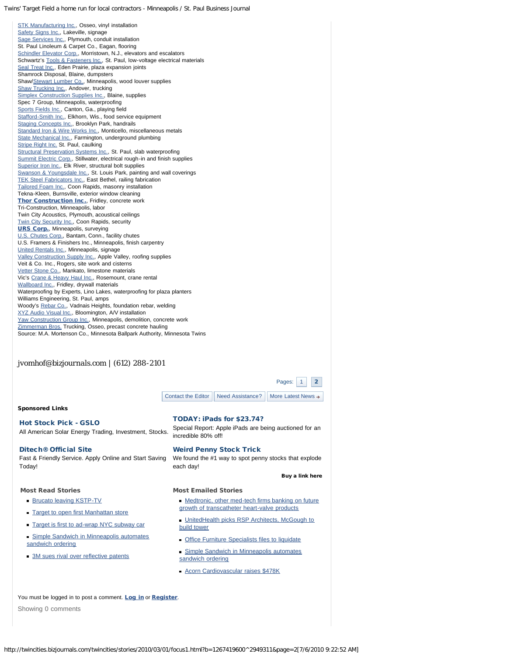[Contact the Editor](http://twincities.bizjournals.com/twincities/contactus/contact_editor.html) | [Need Assistance?](http://twincities.bizjournals.com/twincities/aboutus/help.html) | [More Latest News](http://twincities.bizjournals.com/twincities/latestnews.html)  $\rightarrow$ [STK Manufacturing Inc.](http://twincities.bizjournals.com/twincities/related_content.html?topic=STK%20Manufacturing%20Inc), Osseo, vinyl installation [Safety Signs Inc.](http://twincities.bizjournals.com/twincities/related_content.html?topic=Safety%20Signs%20Inc), Lakeville, signage [Sage Services Inc.](http://twincities.bizjournals.com/twincities/related_content.html?topic=Sage%20Services%20Inc), Plymouth, conduit installation St. Paul Linoleum & Carpet Co., Eagan, flooring [Schindler Elevator Corp.](http://twincities.bizjournals.com/twincities/related_content.html?topic=Schindler%20Elevator%20Corp), Morristown, N.J., elevators and escalators Schwartz's [Tools & Fasteners Inc.](http://twincities.bizjournals.com/twincities/related_content.html?topic=Tools%20%26%20Fasteners%20Inc), St. Paul, low-voltage electrical materials [Seal Treat Inc.](http://twincities.bizjournals.com/twincities/related_content.html?topic=Seal%20Treat%20Inc), Eden Prairie, plaza expansion joints Shamrock Disposal, Blaine, dumpsters Shaw/[Stewart Lumber Co.](http://twincities.bizjournals.com/twincities/related_content.html?topic=Stewart%20Lumber%20Co), Minneapolis, wood louver supplies [Shaw Trucking Inc.](http://twincities.bizjournals.com/twincities/related_content.html?topic=Shaw%20Trucking%20Inc), Andover, trucking [Simplex Construction Supplies Inc.](http://twincities.bizjournals.com/twincities/related_content.html?topic=Simplex%20Construction%20Supplies%20Inc), Blaine, supplies Spec 7 Group, Minneapolis, waterproofing [Sports Fields Inc.](http://twincities.bizjournals.com/twincities/related_content.html?topic=Sports%20Fields%20Inc), Canton, Ga., playing field [Stafford-Smith Inc.](http://twincities.bizjournals.com/twincities/related_content.html?topic=Stafford-Smith%20Inc), Elkhorn, Wis., food service equipment [Staging Concepts Inc.](http://twincities.bizjournals.com/twincities/related_content.html?topic=Staging%20Concepts%20Inc), Brooklyn Park, handrails [Standard Iron & Wire Works Inc.](http://twincities.bizjournals.com/twincities/related_content.html?topic=Standard%20Iron%20%26%20Wire%20Works%20Inc), Monticello, miscellaneous metals [State Mechanical Inc.](http://twincities.bizjournals.com/twincities/related_content.html?topic=State%20Mechanical%20Inc), Farmington, underground plumbing [Stripe Right Inc.](http://twincities.bizjournals.com/twincities/related_content.html?topic=Stripe%20Right%20Inc) St. Paul, caulking [Structural Preservation Systems Inc.](http://twincities.bizjournals.com/twincities/related_content.html?topic=Structural%20Preservation%20Systems%20Inc), St. Paul, slab waterproofing [Summit Electric Corp.](http://twincities.bizjournals.com/twincities/related_content.html?topic=Summit%20Electric%20Corp), Stillwater, electrical rough-in and finish supplies [Superior Iron Inc.](http://twincities.bizjournals.com/twincities/related_content.html?topic=Superior%20Iron%20Inc), Elk River, structural bolt supplies [Swanson & Youngsdale Inc.](http://twincities.bizjournals.com/twincities/related_content.html?topic=Swanson%20%26%20Youngsdale%20Inc), St. Louis Park, painting and wall coverings [TEK Steel Fabricators Inc.](http://twincities.bizjournals.com/twincities/related_content.html?topic=TEK%20Steel%20Fabricators%20Inc), East Bethel, railing fabrication [Tailored Foam Inc.](http://twincities.bizjournals.com/twincities/related_content.html?topic=Tailored%20Foam%20Inc), Coon Rapids, masonry installation Tekna-Kleen, Burnsville, exterior window cleaning [Thor Construction Inc.](http://profiles.portfolio.com/company/us/ma/medford/thor_construction_company/965977/), Fridley, concrete work Tri-Construction, Minneapolis, labor Twin City Acoustics, Plymouth, acoustical ceilings **[Twin City Security Inc.](http://twincities.bizjournals.com/twincities/related_content.html?topic=Twin%20City%20Security%20Inc), Coon Rapids, security** [URS Corp.](http://profiles.portfolio.com/company/us/ca/san_francisco/urs_corp_/20345/), Minneapolis, surveying [U.S. Chutes Corp.](http://twincities.bizjournals.com/twincities/related_content.html?topic=US%20Chutes%20Corp), Bantam, Conn., facility chutes U.S. Framers & Finishers Inc., Minneapolis, finish carpentry [United Rentals Inc.](http://twincities.bizjournals.com/twincities/related_content.html?topic=United%20Rentals%20Inc), Minneapolis, signage [Valley Construction Supply Inc.](http://twincities.bizjournals.com/twincities/related_content.html?topic=Valley%20Construction%20Supply%20Inc), Apple Valley, roofing supplies Veit & Co. Inc., Rogers, site work and cisterns [Vetter Stone Co.](http://twincities.bizjournals.com/twincities/related_content.html?topic=Vetter%20Stone%20Co), Mankato, limestone materials Vic's [Crane & Heavy Haul Inc.](http://twincities.bizjournals.com/twincities/related_content.html?topic=Crane%20%26%20Heavy%20Haul%20Inc), Rosemount, crane rental [Wallboard Inc.](http://twincities.bizjournals.com/twincities/related_content.html?topic=Wallboard%20Inc), Fridley, drywall materials Waterproofing by Experts, Lino Lakes, waterproofing for plaza planters Williams Engineering, St. Paul, amps Woody's [Rebar Co.](http://twincities.bizjournals.com/twincities/related_content.html?topic=Rebar%20Co), Vadnais Heights, foundation rebar, welding [XYZ Audio Visual Inc.](http://twincities.bizjournals.com/twincities/related_content.html?topic=XYZ%20Audio%20Visual%20Inc), Bloomington, A/V installation [Yaw Construction Group Inc.](http://twincities.bizjournals.com/twincities/related_content.html?topic=Yaw%20Construction%20Group%20Inc), Minneapolis, demolition, concrete work [Zimmerman Bros.](http://twincities.bizjournals.com/twincities/related_content.html?topic=Zimmerman%20Bros) Trucking, Osseo, precast concrete hauling Source: M.A. Mortenson Co., Minnesota Ballpark Authority, Minnesota Twins *jvomhof@bizjournals.com | (612) 288-2101* Pages: [1](http://twincities.bizjournals.com/twincities/stories/2010/03/01/focus1.html?b=1267419600^2949311&page=1) 2  [Buy a link here](http://bizjournals.adsonar.com/admin/advertisers/indexPl.jsp)  Sponsored Links [Hot Stock Pick - GSLO](javascript:void(0);) [All American Solar Energy Trading, Investment, Stocks.](javascript:void(0);) [TODAY: iPads for \\$23.74?](javascript:void(0);) [Special Report: Apple iPads are being auctioned for an](javascript:void(0);) [incredible 80% off!](javascript:void(0);) [Ditech® Official Site](javascript:void(0);) [Fast & Friendly Service. Apply Online and Start Saving](javascript:void(0);) [Today!](javascript:void(0);) [Weird Penny Stock Trick](javascript:void(0);) [We found the #1 way to spot penny stocks that explode](javascript:void(0);) [each day!](javascript:void(0);) Most Read Stories **[Brucato leaving KSTP-TV](http://twincities.bizjournals.com/twincities/stories/2010/06/28/daily28.html) [Target to open first Manhattan store](http://twincities.bizjournals.com/twincities/stories/2010/06/28/daily40.html)** [Target is first to ad-wrap NYC subway car](http://twincities.bizjournals.com/twincities/stories/2010/06/28/daily11.html) **[Simple Sandwich in Minneapolis automates](http://twincities.bizjournals.com/twincities/stories/2010/06/28/daily30.html)** [sandwich ordering](http://twincities.bizjournals.com/twincities/stories/2010/06/28/daily30.html) ■ [3M sues rival over reflective patents](http://twincities.bizjournals.com/twincities/stories/2010/06/28/daily12.html) Most Emailed Stories **[Medtronic, other med-tech firms banking on future](http://twincities.bizjournals.com/twincities/stories/2010/07/05/focus1.html)** [growth of transcatheter heart-valve products](http://twincities.bizjournals.com/twincities/stories/2010/07/05/focus1.html) **[UnitedHealth picks RSP Architects, McGough to](http://twincities.bizjournals.com/twincities/stories/2010/07/05/story1.html)** [build tower](http://twincities.bizjournals.com/twincities/stories/2010/07/05/story1.html) **[Office Furniture Specialists files to liquidate](http://twincities.bizjournals.com/twincities/stories/2010/07/05/story8.html) [Simple Sandwich in Minneapolis automates](http://twincities.bizjournals.com/twincities/stories/2010/06/28/daily30.html)** [sandwich ordering](http://twincities.bizjournals.com/twincities/stories/2010/06/28/daily30.html) **[Acorn Cardiovascular raises \\$478K](http://twincities.bizjournals.com/twincities/stories/2010/07/05/newscolumn3.html)** You must be logged in to post a comment. [Log in](https://www.bizjournals.com/twincities/account/sign_in/?uri=%2Ftwincities%2Fstories%2F2010%2F03%2F01%2Ffocus1.html%3Fb%3D1267419600%5E2949311%26page%3D2) or [Register](http://www.bizjournals.com/my_account/registration/signup.html?market=twincities&uri=%2Ftwincities%2Fstories%2F2010%2F03%2F01%2Ffocus1.html%3Fb%3D1267419600%5E2949311%26page%3D2). Showing 0 comments